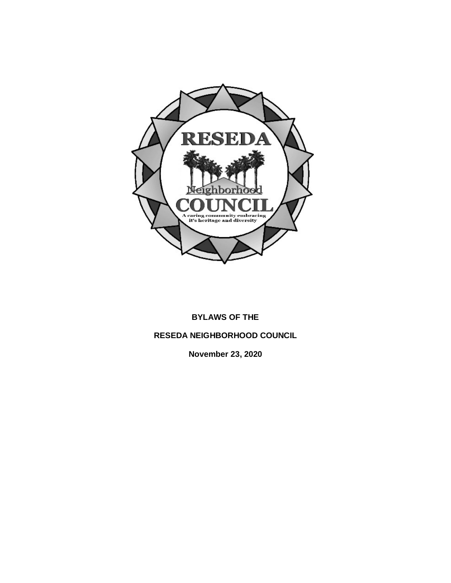

## **BYLAWS OF THE**

## **RESEDA NEIGHBORHOOD COUNCIL**

**November 23, 2020**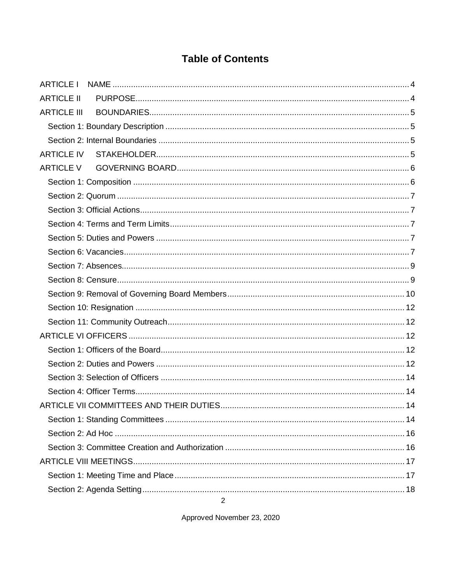# **Table of Contents**

| <b>ARTICLE I</b>   |  |
|--------------------|--|
| <b>ARTICLE II</b>  |  |
| <b>ARTICLE III</b> |  |
|                    |  |
|                    |  |
|                    |  |
| <b>ARTICLE V</b>   |  |
|                    |  |
|                    |  |
|                    |  |
|                    |  |
|                    |  |
|                    |  |
|                    |  |
|                    |  |
|                    |  |
|                    |  |
|                    |  |
|                    |  |
|                    |  |
|                    |  |
|                    |  |
|                    |  |
|                    |  |
|                    |  |
|                    |  |
|                    |  |
|                    |  |
|                    |  |
|                    |  |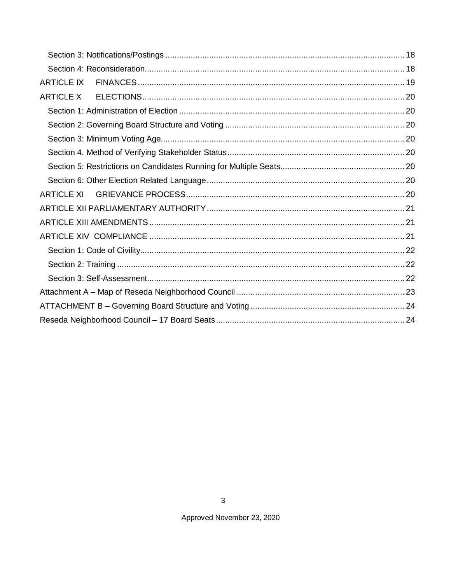| <b>ARTICLE IX</b> |  |
|-------------------|--|
|                   |  |
|                   |  |
|                   |  |
|                   |  |
|                   |  |
|                   |  |
|                   |  |
| ARTICLE XI        |  |
|                   |  |
|                   |  |
|                   |  |
|                   |  |
|                   |  |
|                   |  |
|                   |  |
|                   |  |
|                   |  |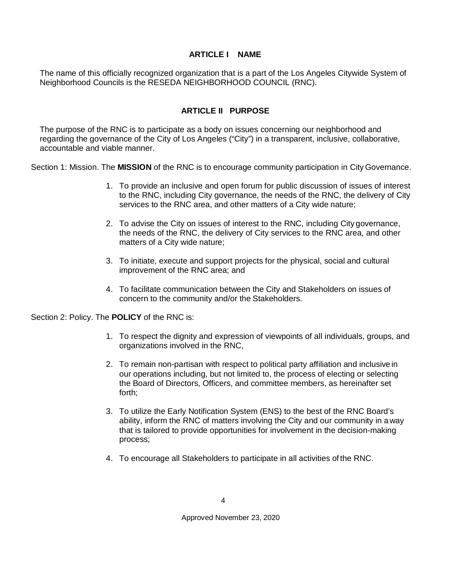#### **ARTICLE I NAME**

<span id="page-3-0"></span>The name of this officially recognized organization that is a part of the Los Angeles Citywide System of Neighborhood Councils is the RESEDA NEIGHBORHOOD COUNCIL (RNC).

#### **ARTICLE II PURPOSE**

<span id="page-3-1"></span>The purpose of the RNC is to participate as a body on issues concerning our neighborhood and regarding the governance of the City of Los Angeles ("City") in a transparent, inclusive, collaborative, accountable and viable manner.

Section 1: Mission. The **MISSION** of the RNC is to encourage community participation in City Governance.

- 1. To provide an inclusive and open forum for public discussion of issues of interest to the RNC, including City governance, the needs of the RNC, the delivery of City services to the RNC area, and other matters of a City wide nature;
- 2. To advise the City on issues of interest to the RNC, including City governance, the needs of the RNC, the delivery of City services to the RNC area, and other matters of a City wide nature;
- 3. To initiate, execute and support projects for the physical, social and cultural improvement of the RNC area; and
- 4. To facilitate communication between the City and Stakeholders on issues of concern to the community and/or the Stakeholders.

Section 2: Policy. The **POLICY** of the RNC is:

- 1. To respect the dignity and expression of viewpoints of all individuals, groups, and organizations involved in the RNC,
- 2. To remain non-partisan with respect to political party affiliation and inclusive in our operations including, but not limited to, the process of electing or selecting the Board of Directors, Officers, and committee members, as hereinafter set forth;
- 3. To utilize the Early Notification System (ENS) to the best of the RNC Board's ability, inform the RNC of matters involving the City and our community in away that is tailored to provide opportunities for involvement in the decision-making process;
- 4. To encourage all Stakeholders to participate in all activities of the RNC.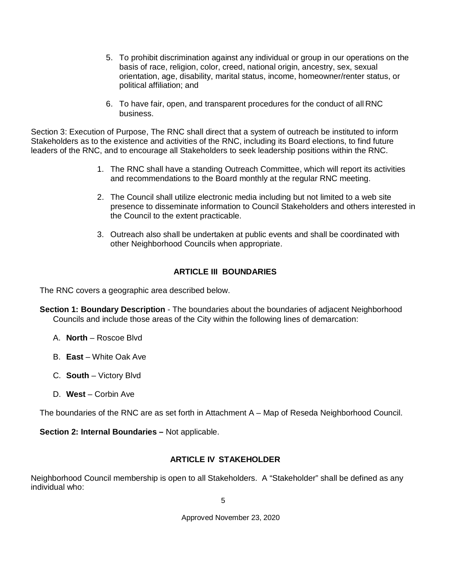- 5. To prohibit discrimination against any individual or group in our operations on the basis of race, religion, color, creed, national origin, ancestry, sex, sexual orientation, age, disability, marital status, income, homeowner/renter status, or political affiliation; and
- 6. To have fair, open, and transparent procedures for the conduct of all RNC business.

Section 3: Execution of Purpose, The RNC shall direct that a system of outreach be instituted to inform Stakeholders as to the existence and activities of the RNC, including its Board elections, to find future leaders of the RNC, and to encourage all Stakeholders to seek leadership positions within the RNC.

- 1. The RNC shall have a standing Outreach Committee, which will report its activities and recommendations to the Board monthly at the regular RNC meeting.
- 2. The Council shall utilize electronic media including but not limited to a web site presence to disseminate information to Council Stakeholders and others interested in the Council to the extent practicable.
- 3. Outreach also shall be undertaken at public events and shall be coordinated with other Neighborhood Councils when appropriate.

#### **ARTICLE III BOUNDARIES**

<span id="page-4-0"></span>The RNC covers a geographic area described below.

- <span id="page-4-1"></span>**Section 1: Boundary Description** - The boundaries about the boundaries of adjacent Neighborhood Councils and include those areas of the City within the following lines of demarcation:
	- A. **North**  Roscoe Blvd
	- B. **East** White Oak Ave
	- C. **South**  Victory Blvd
	- D. West Corbin Ave

The boundaries of the RNC are as set forth in Attachment A – Map of Reseda Neighborhood Council.

<span id="page-4-2"></span>**Section 2: Internal Boundaries –** Not applicable.

#### **ARTICLE IV STAKEHOLDER**

<span id="page-4-3"></span>Neighborhood Council membership is open to all Stakeholders. A "Stakeholder" shall be defined as any individual who: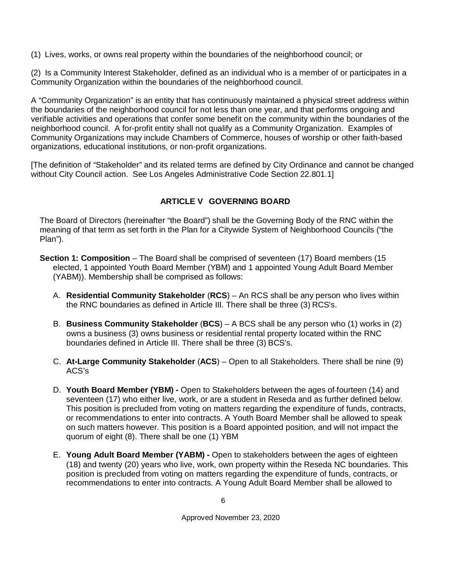(1) Lives, works, or owns real property within the boundaries of the neighborhood council; or

(2) Is a Community Interest Stakeholder, defined as an individual who is a member of or participates in a Community Organization within the boundaries of the neighborhood council.

A "Community Organization" is an entity that has continuously maintained a physical street address within the boundaries of the neighborhood council for not less than one year, and that performs ongoing and verifiable activities and operations that confer some benefit on the community within the boundaries of the neighborhood council. A for-profit entity shall not qualify as a Community Organization. Examples of Community Organizations may include Chambers of Commerce, houses of worship or other faith-based organizations, educational institutions, or non-profit organizations.

[The definition of "Stakeholder" and its related terms are defined by City Ordinance and cannot be changed without City Council action. See Los Angeles Administrative Code Section 22.801.1]

#### **ARTICLE V GOVERNING BOARD**

<span id="page-5-0"></span>The Board of Directors (hereinafter "the Board") shall be the Governing Body of the RNC within the meaning of that term as set forth in the Plan for a Citywide System of Neighborhood Councils ("the Plan").

- <span id="page-5-1"></span>**Section 1: Composition** – The Board shall be comprised of seventeen (17) Board members (15 elected, 1 appointed Youth Board Member (YBM) and 1 appointed Young Adult Board Member (YABM)). Membership shall be comprised as follows:
	- A. **Residential Community Stakeholder** (**RCS**) An RCS shall be any person who lives within the RNC boundaries as defined in Article III. There shall be three (3) RCS's.
	- B. **Business Community Stakeholder** (**BCS**) A BCS shall be any person who (1) works in (2) owns a business (3) owns business or residential rental property located within the RNC boundaries defined in Article III. There shall be three (3) BCS's.
	- C. **At-Large Community Stakeholder** (**ACS**) Open to all Stakeholders. There shall be nine (9) ACS's
	- D. **Youth Board Member (YBM) -** Open to Stakeholders between the ages of fourteen (14) and seventeen (17) who either live, work, or are a student in Reseda and as further defined below. This position is precluded from voting on matters regarding the expenditure of funds, contracts, or recommendations to enter into contracts. A Youth Board Member shall be allowed to speak on such matters however. This position is a Board appointed position, and will not impact the quorum of eight (8). There shall be one (1) YBM
	- E. **Young Adult Board Member (YABM) -** Open to stakeholders between the ages of eighteen (18) and twenty (20) years who live, work, own property within the Reseda NC boundaries. This position is precluded from voting on matters regarding the expenditure of funds, contracts, or recommendations to enter into contracts. A Young Adult Board Member shall be allowed to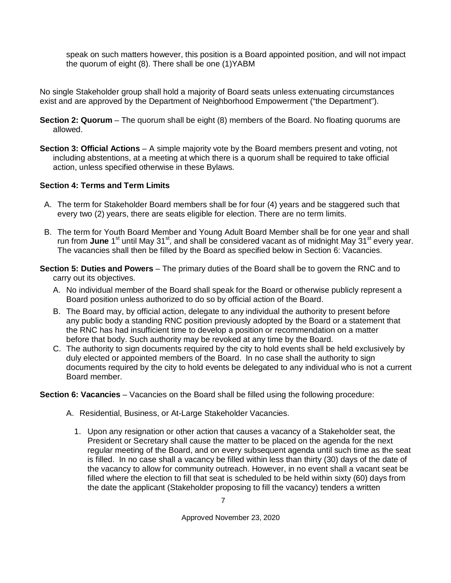speak on such matters however, this position is a Board appointed position, and will not impact the quorum of eight (8). There shall be one (1)YABM

No single Stakeholder group shall hold a majority of Board seats unless extenuating circumstances exist and are approved by the Department of Neighborhood Empowerment ("the Department").

- <span id="page-6-0"></span>**Section 2: Quorum** – The quorum shall be eight (8) members of the Board. No floating quorums are allowed.
- <span id="page-6-1"></span>**Section 3: Official Actions** – A simple majority vote by the Board members present and voting, not including abstentions, at a meeting at which there is a quorum shall be required to take official action, unless specified otherwise in these Bylaws.

#### <span id="page-6-2"></span>**Section 4: Terms and Term Limits**

- A. The term for Stakeholder Board members shall be for four (4) years and be staggered such that every two (2) years, there are seats eligible for election. There are no term limits.
- B. The term for Youth Board Member and Young Adult Board Member shall be for one year and shall run from June 1<sup>st</sup> until May 31<sup>st</sup>, and shall be considered vacant as of midnight May 31<sup>st</sup> every year. The vacancies shall then be filled by the Board as specified below in Section 6: Vacancies.
- <span id="page-6-3"></span>**Section 5: Duties and Powers** – The primary duties of the Board shall be to govern the RNC and to carry out its objectives.
	- A. No individual member of the Board shall speak for the Board or otherwise publicly represent a Board position unless authorized to do so by official action of the Board.
	- B. The Board may, by official action, delegate to any individual the authority to present before any public body a standing RNC position previously adopted by the Board or a statement that the RNC has had insufficient time to develop a position or recommendation on a matter before that body. Such authority may be revoked at any time by the Board.
	- C. The authority to sign documents required by the city to hold events shall be held exclusively by duly elected or appointed members of the Board. In no case shall the authority to sign documents required by the city to hold events be delegated to any individual who is not a current Board member.

<span id="page-6-4"></span>**Section 6: Vacancies** – Vacancies on the Board shall be filled using the following procedure:

- A. Residential, Business, or At-Large Stakeholder Vacancies.
	- 1. Upon any resignation or other action that causes a vacancy of a Stakeholder seat, the President or Secretary shall cause the matter to be placed on the agenda for the next regular meeting of the Board, and on every subsequent agenda until such time as the seat is filled. In no case shall a vacancy be filled within less than thirty (30) days of the date of the vacancy to allow for community outreach. However, in no event shall a vacant seat be filled where the election to fill that seat is scheduled to be held within sixty (60) days from the date the applicant (Stakeholder proposing to fill the vacancy) tenders a written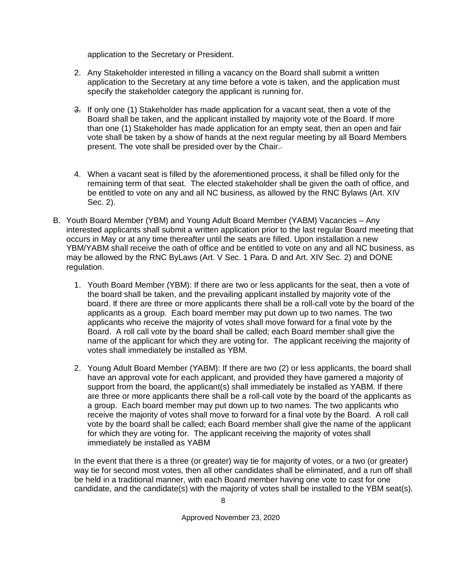application to the Secretary or President.

- 2. Any Stakeholder interested in filling a vacancy on the Board shall submit a written application to the Secretary at any time before a vote is taken, and the application must specify the stakeholder category the applicant is running for.
- 3. If only one (1) Stakeholder has made application for a vacant seat, then a vote of the Board shall be taken, and the applicant installed by majority vote of the Board. If more than one (1) Stakeholder has made application for an empty seat, then an open and fair vote shall be taken by a show of hands at the next regular meeting by all Board Members present. The vote shall be presided over by the Chair.
- 4. When a vacant seat is filled by the aforementioned process, it shall be filled only for the remaining term of that seat. The elected stakeholder shall be given the oath of office, and be entitled to vote on any and all NC business, as allowed by the RNC Bylaws (Art. XIV Sec. 2).
- B. Youth Board Member (YBM) and Young Adult Board Member (YABM) Vacancies Any interested applicants shall submit a written application prior to the last regular Board meeting that occurs in May or at any time thereafter until the seats are filled. Upon installation a new YBM/YABM shall receive the oath of office and be entitled to vote on any and all NC business, as may be allowed by the RNC ByLaws (Art. V Sec. 1 Para. D and Art. XIV Sec. 2) and DONE regulation.
	- 1. Youth Board Member (YBM): If there are two or less applicants for the seat, then a vote of the board shall be taken, and the prevailing applicant installed by majority vote of the board. If there are three or more applicants there shall be a roll-call vote by the board of the applicants as a group. Each board member may put down up to two names. The two applicants who receive the majority of votes shall move forward for a final vote by the Board. A roll call vote by the board shall be called; each Board member shall give the name of the applicant for which they are voting for. The applicant receiving the majority of votes shall immediately be installed as YBM.
	- 2. Young Adult Board Member (YABM): If there are two (2) or less applicants, the board shall have an approval vote for each applicant, and provided they have garnered a majority of support from the board, the applicant(s) shall immediately be installed as YABM. If there are three or more applicants there shall be a roll-call vote by the board of the applicants as a group. Each board member may put down up to two names. The two applicants who receive the majority of votes shall move to forward for a final vote by the Board. A roll call vote by the board shall be called; each Board member shall give the name of the applicant for which they are voting for. The applicant receiving the majority of votes shall immediately be installed as YABM

In the event that there is a three (or greater) way tie for majority of votes, or a two (or greater) way tie for second most votes, then all other candidates shall be eliminated, and a run off shall be held in a traditional manner, with each Board member having one vote to cast for one candidate, and the candidate(s) with the majority of votes shall be installed to the YBM seat(s).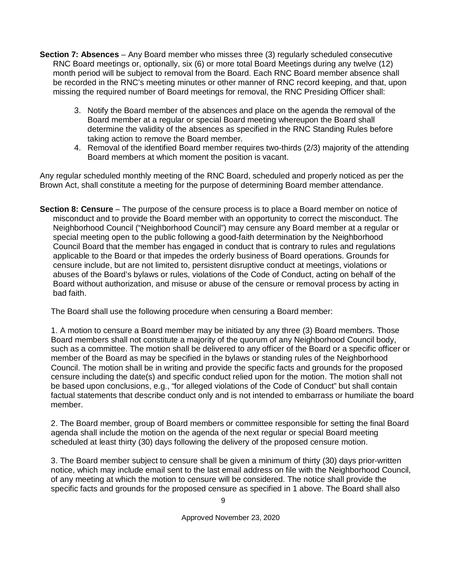- <span id="page-8-0"></span>**Section 7: Absences** – Any Board member who misses three (3) regularly scheduled consecutive RNC Board meetings or, optionally, six (6) or more total Board Meetings during any twelve (12) month period will be subject to removal from the Board. Each RNC Board member absence shall be recorded in the RNC's meeting minutes or other manner of RNC record keeping, and that, upon missing the required number of Board meetings for removal, the RNC Presiding Officer shall:
	- 3. Notify the Board member of the absences and place on the agenda the removal of the Board member at a regular or special Board meeting whereupon the Board shall determine the validity of the absences as specified in the RNC Standing Rules before taking action to remove the Board member.
	- 4. Removal of the identified Board member requires two-thirds (2/3) majority of the attending Board members at which moment the position is vacant.

Any regular scheduled monthly meeting of the RNC Board, scheduled and properly noticed as per the Brown Act, shall constitute a meeting for the purpose of determining Board member attendance.

<span id="page-8-1"></span>**Section 8: Censure** – The purpose of the censure process is to place a Board member on notice of misconduct and to provide the Board member with an opportunity to correct the misconduct. The Neighborhood Council ("Neighborhood Council") may censure any Board member at a regular or special meeting open to the public following a good-faith determination by the Neighborhood Council Board that the member has engaged in conduct that is contrary to rules and regulations applicable to the Board or that impedes the orderly business of Board operations. Grounds for censure include, but are not limited to, persistent disruptive conduct at meetings, violations or abuses of the Board's bylaws or rules, violations of the Code of Conduct, acting on behalf of the Board without authorization, and misuse or abuse of the censure or removal process by acting in bad faith.

The Board shall use the following procedure when censuring a Board member:

1. A motion to censure a Board member may be initiated by any three (3) Board members. Those Board members shall not constitute a majority of the quorum of any Neighborhood Council body, such as a committee. The motion shall be delivered to any officer of the Board or a specific officer or member of the Board as may be specified in the bylaws or standing rules of the Neighborhood Council. The motion shall be in writing and provide the specific facts and grounds for the proposed censure including the date(s) and specific conduct relied upon for the motion. The motion shall not be based upon conclusions, e.g., "for alleged violations of the Code of Conduct" but shall contain factual statements that describe conduct only and is not intended to embarrass or humiliate the board member.

2. The Board member, group of Board members or committee responsible for setting the final Board agenda shall include the motion on the agenda of the next regular or special Board meeting scheduled at least thirty (30) days following the delivery of the proposed censure motion.

3. The Board member subject to censure shall be given a minimum of thirty (30) days prior-written notice, which may include email sent to the last email address on file with the Neighborhood Council, of any meeting at which the motion to censure will be considered. The notice shall provide the specific facts and grounds for the proposed censure as specified in 1 above. The Board shall also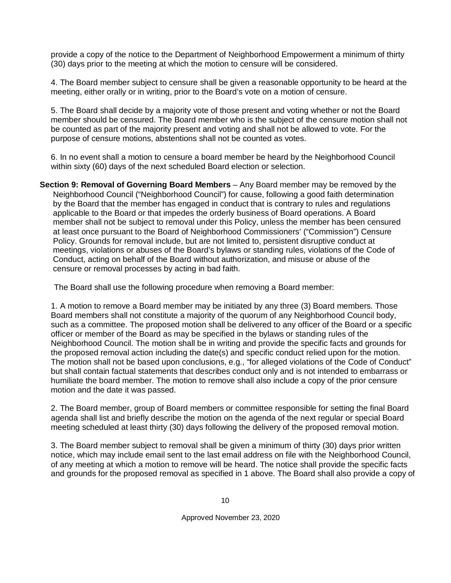provide a copy of the notice to the Department of Neighborhood Empowerment a minimum of thirty (30) days prior to the meeting at which the motion to censure will be considered.

4. The Board member subject to censure shall be given a reasonable opportunity to be heard at the meeting, either orally or in writing, prior to the Board's vote on a motion of censure.

5. The Board shall decide by a majority vote of those present and voting whether or not the Board member should be censured. The Board member who is the subject of the censure motion shall not be counted as part of the majority present and voting and shall not be allowed to vote. For the purpose of censure motions, abstentions shall not be counted as votes.

6. In no event shall a motion to censure a board member be heard by the Neighborhood Council within sixty (60) days of the next scheduled Board election or selection.

<span id="page-9-0"></span>**Section 9: Removal of Governing Board Members** – Any Board member may be removed by the Neighborhood Council ("Neighborhood Council") for cause, following a good faith determination by the Board that the member has engaged in conduct that is contrary to rules and regulations applicable to the Board or that impedes the orderly business of Board operations. A Board member shall not be subject to removal under this Policy, unless the member has been censured at least once pursuant to the Board of Neighborhood Commissioners' ("Commission") Censure Policy. Grounds for removal include, but are not limited to, persistent disruptive conduct at meetings, violations or abuses of the Board's bylaws or standing rules, violations of the Code of Conduct, acting on behalf of the Board without authorization, and misuse or abuse of the censure or removal processes by acting in bad faith.

The Board shall use the following procedure when removing a Board member:

1. A motion to remove a Board member may be initiated by any three (3) Board members. Those Board members shall not constitute a majority of the quorum of any Neighborhood Council body, such as a committee. The proposed motion shall be delivered to any officer of the Board or a specific officer or member of the Board as may be specified in the bylaws or standing rules of the Neighborhood Council. The motion shall be in writing and provide the specific facts and grounds for the proposed removal action including the date(s) and specific conduct relied upon for the motion. The motion shall not be based upon conclusions, e.g., "for alleged violations of the Code of Conduct" but shall contain factual statements that describes conduct only and is not intended to embarrass or humiliate the board member. The motion to remove shall also include a copy of the prior censure motion and the date it was passed.

2. The Board member, group of Board members or committee responsible for setting the final Board agenda shall list and briefly describe the motion on the agenda of the next regular or special Board meeting scheduled at least thirty (30) days following the delivery of the proposed removal motion.

3. The Board member subject to removal shall be given a minimum of thirty (30) days prior written notice, which may include email sent to the last email address on file with the Neighborhood Council, of any meeting at which a motion to remove will be heard. The notice shall provide the specific facts and grounds for the proposed removal as specified in 1 above. The Board shall also provide a copy of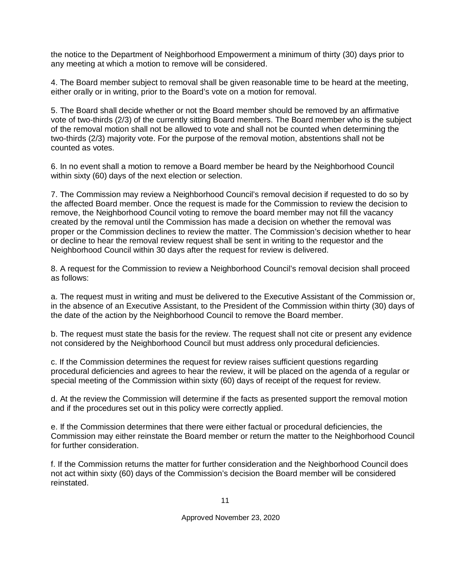the notice to the Department of Neighborhood Empowerment a minimum of thirty (30) days prior to any meeting at which a motion to remove will be considered.

4. The Board member subject to removal shall be given reasonable time to be heard at the meeting, either orally or in writing, prior to the Board's vote on a motion for removal.

5. The Board shall decide whether or not the Board member should be removed by an affirmative vote of two-thirds (2/3) of the currently sitting Board members. The Board member who is the subject of the removal motion shall not be allowed to vote and shall not be counted when determining the two-thirds (2/3) majority vote. For the purpose of the removal motion, abstentions shall not be counted as votes.

6. In no event shall a motion to remove a Board member be heard by the Neighborhood Council within sixty (60) days of the next election or selection.

7. The Commission may review a Neighborhood Council's removal decision if requested to do so by the affected Board member. Once the request is made for the Commission to review the decision to remove, the Neighborhood Council voting to remove the board member may not fill the vacancy created by the removal until the Commission has made a decision on whether the removal was proper or the Commission declines to review the matter. The Commission's decision whether to hear or decline to hear the removal review request shall be sent in writing to the requestor and the Neighborhood Council within 30 days after the request for review is delivered.

8. A request for the Commission to review a Neighborhood Council's removal decision shall proceed as follows:

a. The request must in writing and must be delivered to the Executive Assistant of the Commission or, in the absence of an Executive Assistant, to the President of the Commission within thirty (30) days of the date of the action by the Neighborhood Council to remove the Board member.

b. The request must state the basis for the review. The request shall not cite or present any evidence not considered by the Neighborhood Council but must address only procedural deficiencies.

c. If the Commission determines the request for review raises sufficient questions regarding procedural deficiencies and agrees to hear the review, it will be placed on the agenda of a regular or special meeting of the Commission within sixty (60) days of receipt of the request for review.

d. At the review the Commission will determine if the facts as presented support the removal motion and if the procedures set out in this policy were correctly applied.

e. If the Commission determines that there were either factual or procedural deficiencies, the Commission may either reinstate the Board member or return the matter to the Neighborhood Council for further consideration.

f. If the Commission returns the matter for further consideration and the Neighborhood Council does not act within sixty (60) days of the Commission's decision the Board member will be considered reinstated.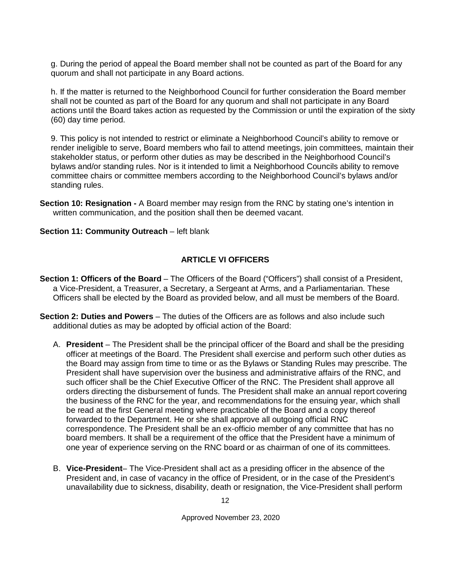g. During the period of appeal the Board member shall not be counted as part of the Board for any quorum and shall not participate in any Board actions.

h. If the matter is returned to the Neighborhood Council for further consideration the Board member shall not be counted as part of the Board for any quorum and shall not participate in any Board actions until the Board takes action as requested by the Commission or until the expiration of the sixty (60) day time period.

9. This policy is not intended to restrict or eliminate a Neighborhood Council's ability to remove or render ineligible to serve, Board members who fail to attend meetings, join committees, maintain their stakeholder status, or perform other duties as may be described in the Neighborhood Council's bylaws and/or standing rules. Nor is it intended to limit a Neighborhood Councils ability to remove committee chairs or committee members according to the Neighborhood Council's bylaws and/or standing rules.

<span id="page-11-0"></span>**Section 10: Resignation -** A Board member may resign from the RNC by stating one's intention in written communication, and the position shall then be deemed vacant.

<span id="page-11-1"></span>**Section 11: Community Outreach** – left blank

#### **ARTICLE VI OFFICERS**

- <span id="page-11-3"></span><span id="page-11-2"></span>**Section 1: Officers of the Board** – The Officers of the Board ("Officers") shall consist of a President, a Vice-President, a Treasurer, a Secretary, a Sergeant at Arms, and a Parliamentarian. These Officers shall be elected by the Board as provided below, and all must be members of the Board.
- <span id="page-11-4"></span>**Section 2: Duties and Powers** – The duties of the Officers are as follows and also include such additional duties as may be adopted by official action of the Board:
	- A. **President**  The President shall be the principal officer of the Board and shall be the presiding officer at meetings of the Board. The President shall exercise and perform such other duties as the Board may assign from time to time or as the Bylaws or Standing Rules may prescribe. The President shall have supervision over the business and administrative affairs of the RNC, and such officer shall be the Chief Executive Officer of the RNC. The President shall approve all orders directing the disbursement of funds. The President shall make an annual report covering the business of the RNC for the year, and recommendations for the ensuing year, which shall be read at the first General meeting where practicable of the Board and a copy thereof forwarded to the Department. He or she shall approve all outgoing official RNC correspondence. The President shall be an ex-officio member of any committee that has no board members. It shall be a requirement of the office that the President have a minimum of one year of experience serving on the RNC board or as chairman of one of its committees.
	- B. **Vice-President** The Vice-President shall act as a presiding officer in the absence of the President and, in case of vacancy in the office of President, or in the case of the President's unavailability due to sickness, disability, death or resignation, the Vice-President shall perform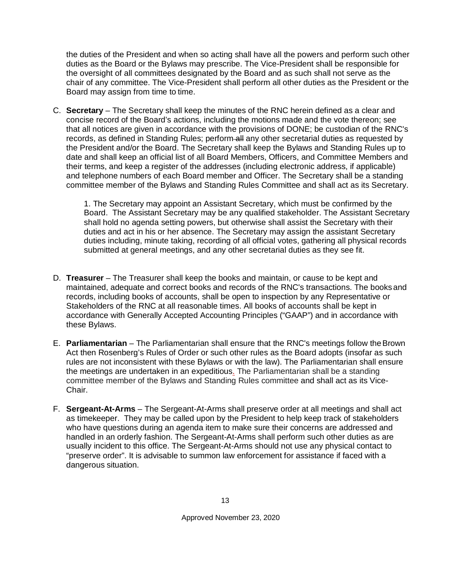the duties of the President and when so acting shall have all the powers and perform such other duties as the Board or the Bylaws may prescribe. The Vice-President shall be responsible for the oversight of all committees designated by the Board and as such shall not serve as the chair of any committee. The Vice-President shall perform all other duties as the President or the Board may assign from time to time.

C. **Secretary** – The Secretary shall keep the minutes of the RNC herein defined as a clear and concise record of the Board's actions, including the motions made and the vote thereon; see that all notices are given in accordance with the provisions of DONE; be custodian of the RNC's records, as defined in Standing Rules; perform-all any other secretarial duties as requested by the President and/or the Board. The Secretary shall keep the Bylaws and Standing Rules up to date and shall keep an official list of all Board Members, Officers, and Committee Members and their terms, and keep a register of the addresses (including electronic address, if applicable) and telephone numbers of each Board member and Officer. The Secretary shall be a standing committee member of the Bylaws and Standing Rules Committee and shall act as its Secretary.

1. The Secretary may appoint an Assistant Secretary, which must be confirmed by the Board. The Assistant Secretary may be any qualified stakeholder. The Assistant Secretary shall hold no agenda setting powers, but otherwise shall assist the Secretary with their duties and act in his or her absence. The Secretary may assign the assistant Secretary duties including, minute taking, recording of all official votes, gathering all physical records submitted at general meetings, and any other secretarial duties as they see fit.

- D. **Treasurer**  The Treasurer shall keep the books and maintain, or cause to be kept and maintained, adequate and correct books and records of the RNC's transactions. The booksand records, including books of accounts, shall be open to inspection by any Representative or Stakeholders of the RNC at all reasonable times. All books of accounts shall be kept in accordance with Generally Accepted Accounting Principles ("GAAP") and in accordance with these Bylaws.
- E. **Parliamentarian**  The Parliamentarian shall ensure that the RNC's meetings follow theBrown Act then Rosenberg's Rules of Order or such other rules as the Board adopts (insofar as such rules are not inconsistent with these Bylaws or with the law). The Parliamentarian shall ensure the meetings are undertaken in an expeditious. The Parliamentarian shall be a standing committee member of the Bylaws and Standing Rules committee and shall act as its Vice-Chair.
- F. **Sergeant-At-Arms**  The Sergeant-At-Arms shall preserve order at all meetings and shall act as timekeeper. They may be called upon by the President to help keep track of stakeholders who have questions during an agenda item to make sure their concerns are addressed and handled in an orderly fashion. The Sergeant-At-Arms shall perform such other duties as are usually incident to this office. The Sergeant-At-Arms should not use any physical contact to "preserve order". It is advisable to summon law enforcement for assistance if faced with a dangerous situation.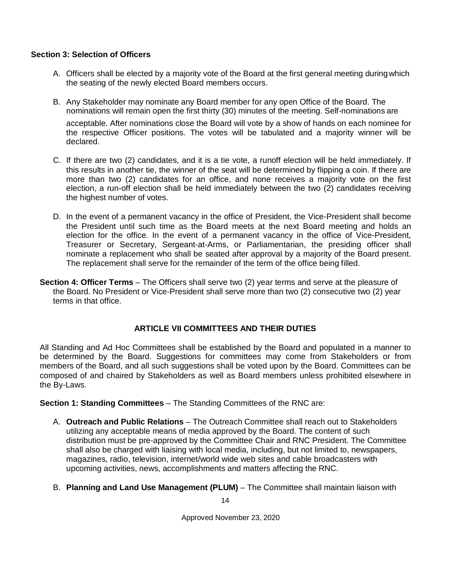#### <span id="page-13-0"></span>**Section 3: Selection of Officers**

- A. Officers shall be elected by a majority vote of the Board at the first general meeting duringwhich the seating of the newly elected Board members occurs.
- B. Any Stakeholder may nominate any Board member for any open Office of the Board. The nominations will remain open the first thirty (30) minutes of the meeting. Self-nominations are acceptable. After nominations close the Board will vote by a show of hands on each nominee for the respective Officer positions. The votes will be tabulated and a majority winner will be declared.
- C. If there are two (2) candidates, and it is a tie vote, a runoff election will be held immediately. If this results in another tie, the winner of the seat will be determined by flipping a coin. If there are more than two (2) candidates for an office, and none receives a majority vote on the first election, a run-off election shall be held immediately between the two (2) candidates receiving the highest number of votes.
- D. In the event of a permanent vacancy in the office of President, the Vice-President shall become the President until such time as the Board meets at the next Board meeting and holds an election for the office. In the event of a permanent vacancy in the office of Vice-President, Treasurer or Secretary, Sergeant-at-Arms, or Parliamentarian, the presiding officer shall nominate a replacement who shall be seated after approval by a majority of the Board present. The replacement shall serve for the remainder of the term of the office being filled.
- <span id="page-13-1"></span>**Section 4: Officer Terms** – The Officers shall serve two (2) year terms and serve at the pleasure of the Board. No President or Vice-President shall serve more than two (2) consecutive two (2) year terms in that office.

#### **ARTICLE VII COMMITTEES AND THEIR DUTIES**

<span id="page-13-2"></span>All Standing and Ad Hoc Committees shall be established by the Board and populated in a manner to be determined by the Board. Suggestions for committees may come from Stakeholders or from members of the Board, and all such suggestions shall be voted upon by the Board. Committees can be composed of and chaired by Stakeholders as well as Board members unless prohibited elsewhere in the By-Laws.

#### <span id="page-13-3"></span>**Section 1: Standing Committees** – The Standing Committees of the RNC are:

- A. **Outreach and Public Relations**  The Outreach Committee shall reach out to Stakeholders utilizing any acceptable means of media approved by the Board. The content of such distribution must be pre-approved by the Committee Chair and RNC President. The Committee shall also be charged with liaising with local media, including, but not limited to, newspapers, magazines, radio, television, internet/world wide web sites and cable broadcasters with upcoming activities, news, accomplishments and matters affecting the RNC.
- B. **Planning and Land Use Management (PLUM)**  The Committee shall maintain liaison with

14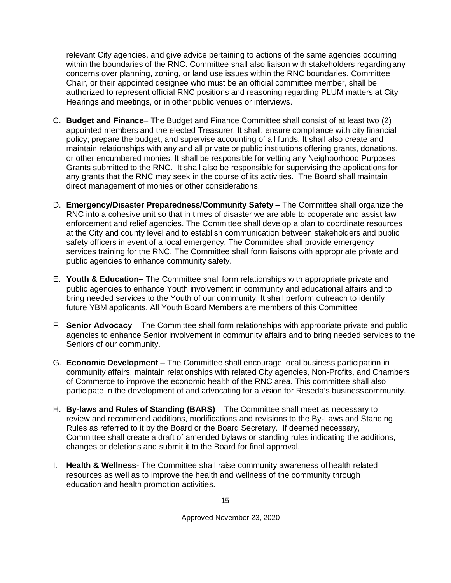relevant City agencies, and give advice pertaining to actions of the same agencies occurring within the boundaries of the RNC. Committee shall also liaison with stakeholders regardingany concerns over planning, zoning, or land use issues within the RNC boundaries. Committee Chair, or their appointed designee who must be an official committee member, shall be authorized to represent official RNC positions and reasoning regarding PLUM matters at City Hearings and meetings, or in other public venues or interviews.

- C. **Budget and Finance** The Budget and Finance Committee shall consist of at least two (2) appointed members and the elected Treasurer. It shall: ensure compliance with city financial policy; prepare the budget, and supervise accounting of all funds. It shall also create and maintain relationships with any and all private or public institutions offering grants, donations, or other encumbered monies. It shall be responsible for vetting any Neighborhood Purposes Grants submitted to the RNC. It shall also be responsible for supervising the applications for any grants that the RNC may seek in the course of its activities. The Board shall maintain direct management of monies or other considerations.
- D. **Emergency/Disaster Preparedness/Community Safety** The Committee shall organize the RNC into a cohesive unit so that in times of disaster we are able to cooperate and assist law enforcement and relief agencies. The Committee shall develop a plan to coordinate resources at the City and county level and to establish communication between stakeholders and public safety officers in event of a local emergency. The Committee shall provide emergency services training for the RNC. The Committee shall form liaisons with appropriate private and public agencies to enhance community safety.
- E. **Youth & Education** The Committee shall form relationships with appropriate private and public agencies to enhance Youth involvement in community and educational affairs and to bring needed services to the Youth of our community. It shall perform outreach to identify future YBM applicants. All Youth Board Members are members of this Committee
- F. **Senior Advocacy** The Committee shall form relationships with appropriate private and public agencies to enhance Senior involvement in community affairs and to bring needed services to the Seniors of our community.
- G. **Economic Development**  The Committee shall encourage local business participation in community affairs; maintain relationships with related City agencies, Non-Profits, and Chambers of Commerce to improve the economic health of the RNC area. This committee shall also participate in the development of and advocating for a vision for Reseda's businesscommunity.
- H. **By-laws and Rules of Standing (BARS)** The Committee shall meet as necessary to review and recommend additions, modifications and revisions to the By-Laws and Standing Rules as referred to it by the Board or the Board Secretary. If deemed necessary, Committee shall create a draft of amended bylaws or standing rules indicating the additions, changes or deletions and submit it to the Board for final approval.
- I. **Health & Wellness** The Committee shall raise community awareness of health related resources as well as to improve the health and wellness of the community through education and health promotion activities.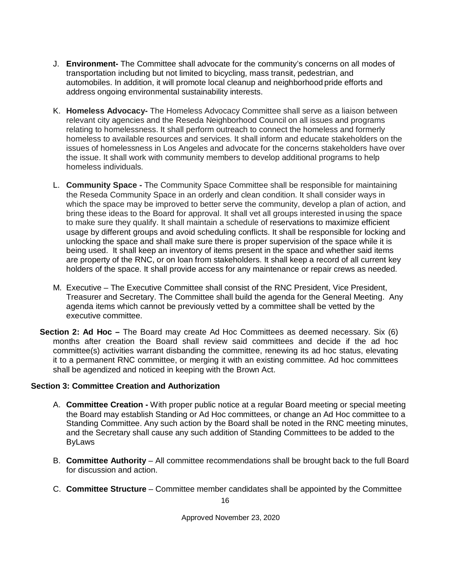- J. **Environment-** The Committee shall advocate for the community's concerns on all modes of transportation including but not limited to bicycling, mass transit, pedestrian, and automobiles. In addition, it will promote local cleanup and neighborhood pride efforts and address ongoing environmental sustainability interests.
- K. **Homeless Advocacy-** The Homeless Advocacy Committee shall serve as a liaison between relevant city agencies and the Reseda Neighborhood Council on all issues and programs relating to homelessness. It shall perform outreach to connect the homeless and formerly homeless to available resources and services. It shall inform and educate stakeholders on the issues of homelessness in Los Angeles and advocate for the concerns stakeholders have over the issue. It shall work with community members to develop additional programs to help homeless individuals.
- L. **Community Space -** The Community Space Committee shall be responsible for maintaining the Reseda Community Space in an orderly and clean condition. It shall consider ways in which the space may be improved to better serve the community, develop a plan of action, and bring these ideas to the Board for approval. It shall vet all groups interested in using the space to make sure they qualify. It shall maintain a schedule of reservations to maximize efficient usage by different groups and avoid scheduling conflicts. It shall be responsible for locking and unlocking the space and shall make sure there is proper supervision of the space while it is being used. It shall keep an inventory of items present in the space and whether said items are property of the RNC, or on loan from stakeholders. It shall keep a record of all current key holders of the space. It shall provide access for any maintenance or repair crews as needed.
- M. Executive The Executive Committee shall consist of the RNC President, Vice President, Treasurer and Secretary. The Committee shall build the agenda for the General Meeting. Any agenda items which cannot be previously vetted by a committee shall be vetted by the executive committee.
- <span id="page-15-0"></span>**Section 2: Ad Hoc –** The Board may create Ad Hoc Committees as deemed necessary. Six (6) months after creation the Board shall review said committees and decide if the ad hoc committee(s) activities warrant disbanding the committee, renewing its ad hoc status, elevating it to a permanent RNC committee, or merging it with an existing committee. Ad hoc committees shall be agendized and noticed in keeping with the Brown Act.

#### <span id="page-15-1"></span>**Section 3: Committee Creation and Authorization**

- A. **Committee Creation -** With proper public notice at a regular Board meeting or special meeting the Board may establish Standing or Ad Hoc committees, or change an Ad Hoc committee to a Standing Committee. Any such action by the Board shall be noted in the RNC meeting minutes, and the Secretary shall cause any such addition of Standing Committees to be added to the ByLaws
- B. **Committee Authority**  All committee recommendations shall be brought back to the full Board for discussion and action.
- C. **Committee Structure**  Committee member candidates shall be appointed by the Committee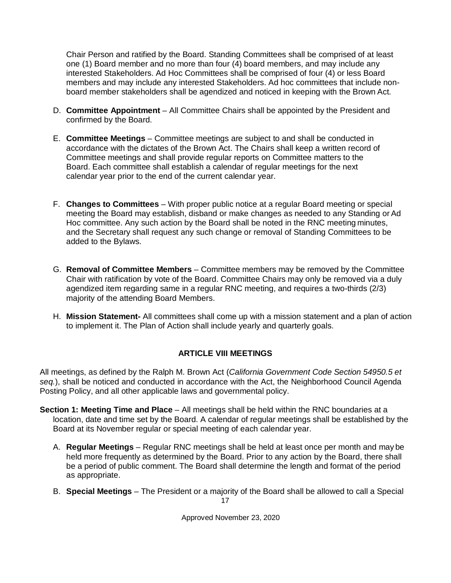Chair Person and ratified by the Board. Standing Committees shall be comprised of at least one (1) Board member and no more than four (4) board members, and may include any interested Stakeholders. Ad Hoc Committees shall be comprised of four (4) or less Board members and may include any interested Stakeholders. Ad hoc committees that include nonboard member stakeholders shall be agendized and noticed in keeping with the Brown Act.

- D. **Committee Appointment**  All Committee Chairs shall be appointed by the President and confirmed by the Board.
- E. **Committee Meetings**  Committee meetings are subject to and shall be conducted in accordance with the dictates of the Brown Act. The Chairs shall keep a written record of Committee meetings and shall provide regular reports on Committee matters to the Board. Each committee shall establish a calendar of regular meetings for the next calendar year prior to the end of the current calendar year.
- F. **Changes to Committees**  With proper public notice at a regular Board meeting or special meeting the Board may establish, disband or make changes as needed to any Standing or Ad Hoc committee. Any such action by the Board shall be noted in the RNC meeting minutes, and the Secretary shall request any such change or removal of Standing Committees to be added to the Bylaws.
- G. **Removal of Committee Members**  Committee members may be removed by the Committee Chair with ratification by vote of the Board. Committee Chairs may only be removed via a duly agendized item regarding same in a regular RNC meeting, and requires a two-thirds (2/3) majority of the attending Board Members.
- H. **Mission Statement-** All committees shall come up with a mission statement and a plan of action to implement it. The Plan of Action shall include yearly and quarterly goals.

#### **ARTICLE VIII MEETINGS**

<span id="page-16-0"></span>All meetings, as defined by the Ralph M. Brown Act (*California Government Code Section 54950.5 et seq.*), shall be noticed and conducted in accordance with the Act, the Neighborhood Council Agenda Posting Policy, and all other applicable laws and governmental policy.

- <span id="page-16-1"></span>**Section 1: Meeting Time and Place** – All meetings shall be held within the RNC boundaries at a location, date and time set by the Board. A calendar of regular meetings shall be established by the Board at its November regular or special meeting of each calendar year.
	- A. **Regular Meetings**  Regular RNC meetings shall be held at least once per month and may be held more frequently as determined by the Board. Prior to any action by the Board, there shall be a period of public comment. The Board shall determine the length and format of the period as appropriate.
	- 17 B. **Special Meetings** – The President or a majority of the Board shall be allowed to call a Special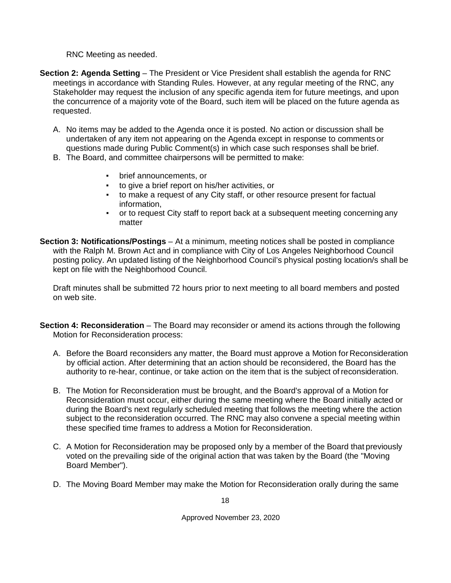RNC Meeting as needed.

- <span id="page-17-0"></span>**Section 2: Agenda Setting** – The President or Vice President shall establish the agenda for RNC meetings in accordance with Standing Rules. However, at any regular meeting of the RNC, any Stakeholder may request the inclusion of any specific agenda item for future meetings, and upon the concurrence of a majority vote of the Board, such item will be placed on the future agenda as requested.
	- A. No items may be added to the Agenda once it is posted. No action or discussion shall be undertaken of any item not appearing on the Agenda except in response to comments or questions made during Public Comment(s) in which case such responses shall be brief.
	- B. The Board, and committee chairpersons will be permitted to make:
		- brief announcements, or
		- to give a brief report on his/her activities, or
		- to make a request of any City staff, or other resource present for factual information,
		- or to request City staff to report back at a subsequent meeting concerning any matter
- <span id="page-17-1"></span>**Section 3: Notifications/Postings** – At a minimum, meeting notices shall be posted in compliance with the Ralph M. Brown Act and in compliance with City of Los Angeles Neighborhood Council posting policy. An updated listing of the Neighborhood Council's physical posting location/s shall be kept on file with the Neighborhood Council.

Draft minutes shall be submitted 72 hours prior to next meeting to all board members and posted on web site.

- <span id="page-17-2"></span>**Section 4: Reconsideration** – The Board may reconsider or amend its actions through the following Motion for Reconsideration process:
	- A. Before the Board reconsiders any matter, the Board must approve a Motion for Reconsideration by official action. After determining that an action should be reconsidered, the Board has the authority to re-hear, continue, or take action on the item that is the subject of reconsideration.
	- B. The Motion for Reconsideration must be brought, and the Board's approval of a Motion for Reconsideration must occur, either during the same meeting where the Board initially acted or during the Board's next regularly scheduled meeting that follows the meeting where the action subject to the reconsideration occurred. The RNC may also convene a special meeting within these specified time frames to address a Motion for Reconsideration.
	- C. A Motion for Reconsideration may be proposed only by a member of the Board that previously voted on the prevailing side of the original action that was taken by the Board (the "Moving Board Member").
	- D. The Moving Board Member may make the Motion for Reconsideration orally during the same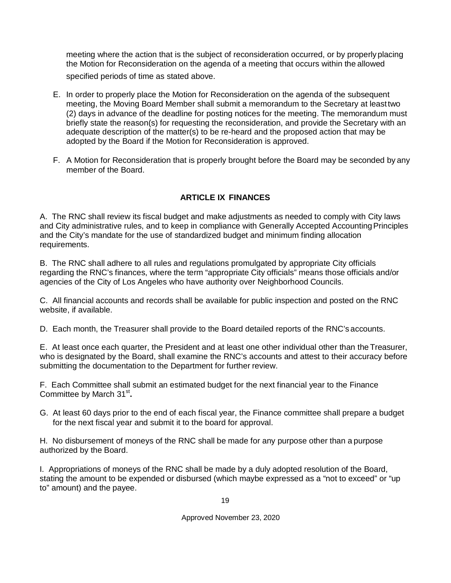meeting where the action that is the subject of reconsideration occurred, or by properlyplacing the Motion for Reconsideration on the agenda of a meeting that occurs within the allowed specified periods of time as stated above.

- E. In order to properly place the Motion for Reconsideration on the agenda of the subsequent meeting, the Moving Board Member shall submit a memorandum to the Secretary at leasttwo (2) days in advance of the deadline for posting notices for the meeting. The memorandum must briefly state the reason(s) for requesting the reconsideration, and provide the Secretary with an adequate description of the matter(s) to be re-heard and the proposed action that may be adopted by the Board if the Motion for Reconsideration is approved.
- F. A Motion for Reconsideration that is properly brought before the Board may be seconded by any member of the Board.

## **ARTICLE IX FINANCES**

<span id="page-18-0"></span>A. The RNC shall review its fiscal budget and make adjustments as needed to comply with City laws and City administrative rules, and to keep in compliance with Generally Accepted Accounting Principles and the City's mandate for the use of standardized budget and minimum finding allocation requirements.

B. The RNC shall adhere to all rules and regulations promulgated by appropriate City officials regarding the RNC's finances, where the term "appropriate City officials" means those officials and/or agencies of the City of Los Angeles who have authority over Neighborhood Councils.

C. All financial accounts and records shall be available for public inspection and posted on the RNC website, if available.

D. Each month, the Treasurer shall provide to the Board detailed reports of the RNC's accounts.

E. At least once each quarter, the President and at least one other individual other than the Treasurer, who is designated by the Board, shall examine the RNC's accounts and attest to their accuracy before submitting the documentation to the Department for further review.

F. Each Committee shall submit an estimated budget for the next financial year to the Finance Committee by March 31<sup>st</sup>.

G. At least 60 days prior to the end of each fiscal year, the Finance committee shall prepare a budget for the next fiscal year and submit it to the board for approval.

H. No disbursement of moneys of the RNC shall be made for any purpose other than a purpose authorized by the Board.

I. Appropriations of moneys of the RNC shall be made by a duly adopted resolution of the Board, stating the amount to be expended or disbursed (which maybe expressed as a "not to exceed" or "up to" amount) and the payee.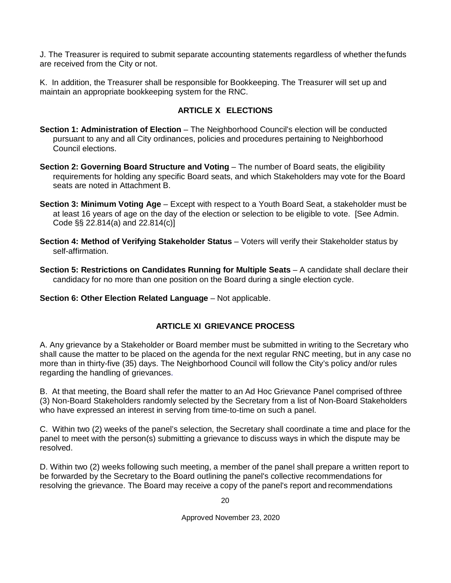J. The Treasurer is required to submit separate accounting statements regardless of whether thefunds are received from the City or not.

K. In addition, the Treasurer shall be responsible for Bookkeeping. The Treasurer will set up and maintain an appropriate bookkeeping system for the RNC.

#### **ARTICLE X ELECTIONS**

- <span id="page-19-1"></span><span id="page-19-0"></span>**Section 1: Administration of Election** – The Neighborhood Council's election will be conducted pursuant to any and all City ordinances, policies and procedures pertaining to Neighborhood Council elections.
- <span id="page-19-2"></span>**Section 2: Governing Board Structure and Voting** – The number of Board seats, the eligibility requirements for holding any specific Board seats, and which Stakeholders may vote for the Board seats are noted in Attachment B.
- <span id="page-19-3"></span>**Section 3: Minimum Voting Age** – Except with respect to a Youth Board Seat, a stakeholder must be at least 16 years of age on the day of the election or selection to be eligible to vote. [See Admin. Code §§ 22.814(a) and 22.814(c)]
- <span id="page-19-4"></span>**Section 4: Method of Verifying Stakeholder Status** – Voters will verify their Stakeholder status by self-affirmation.

<span id="page-19-5"></span>**Section 5: Restrictions on Candidates Running for Multiple Seats** – A candidate shall declare their candidacy for no more than one position on the Board during a single election cycle.

<span id="page-19-6"></span>**Section 6: Other Election Related Language** – Not applicable.

#### **ARTICLE XI GRIEVANCE PROCESS**

<span id="page-19-7"></span>A. Any grievance by a Stakeholder or Board member must be submitted in writing to the Secretary who shall cause the matter to be placed on the agenda for the next regular RNC meeting, but in any case no more than in thirty-five (35) days. The Neighborhood Council will follow the City's policy and/or rules regarding the handling of grievances.

B. At that meeting, the Board shall refer the matter to an Ad Hoc Grievance Panel comprised ofthree (3) Non-Board Stakeholders randomly selected by the Secretary from a list of Non-Board Stakeholders who have expressed an interest in serving from time-to-time on such a panel.

C. Within two (2) weeks of the panel's selection, the Secretary shall coordinate a time and place for the panel to meet with the person(s) submitting a grievance to discuss ways in which the dispute may be resolved.

D. Within two (2) weeks following such meeting, a member of the panel shall prepare a written report to be forwarded by the Secretary to the Board outlining the panel's collective recommendations for resolving the grievance. The Board may receive a copy of the panel's report and recommendations

20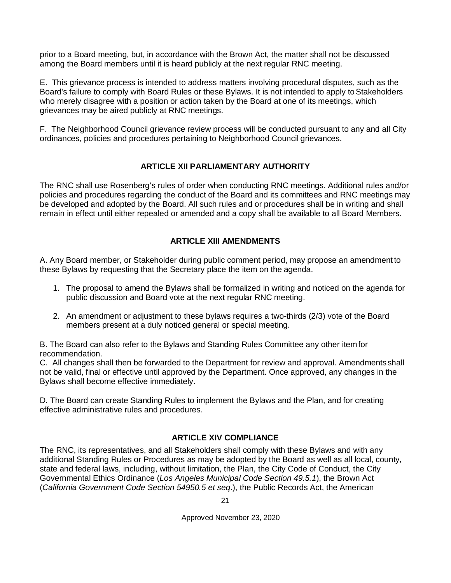prior to a Board meeting, but, in accordance with the Brown Act, the matter shall not be discussed among the Board members until it is heard publicly at the next regular RNC meeting.

E. This grievance process is intended to address matters involving procedural disputes, such as the Board's failure to comply with Board Rules or these Bylaws. It is not intended to apply toStakeholders who merely disagree with a position or action taken by the Board at one of its meetings, which grievances may be aired publicly at RNC meetings.

F. The Neighborhood Council grievance review process will be conducted pursuant to any and all City ordinances, policies and procedures pertaining to Neighborhood Council grievances.

#### **ARTICLE XII PARLIAMENTARY AUTHORITY**

<span id="page-20-0"></span>The RNC shall use Rosenberg's rules of order when conducting RNC meetings. Additional rules and/or policies and procedures regarding the conduct of the Board and its committees and RNC meetings may be developed and adopted by the Board. All such rules and or procedures shall be in writing and shall remain in effect until either repealed or amended and a copy shall be available to all Board Members.

#### **ARTICLE XIII AMENDMENTS**

<span id="page-20-1"></span>A. Any Board member, or Stakeholder during public comment period, may propose an amendment to these Bylaws by requesting that the Secretary place the item on the agenda.

- 1. The proposal to amend the Bylaws shall be formalized in writing and noticed on the agenda for public discussion and Board vote at the next regular RNC meeting.
- 2. An amendment or adjustment to these bylaws requires a two-thirds (2/3) vote of the Board members present at a duly noticed general or special meeting.

B. The Board can also refer to the Bylaws and Standing Rules Committee any other itemfor recommendation.

C. All changes shall then be forwarded to the Department for review and approval. Amendments shall not be valid, final or effective until approved by the Department. Once approved, any changes in the Bylaws shall become effective immediately.

D. The Board can create Standing Rules to implement the Bylaws and the Plan, and for creating effective administrative rules and procedures.

## **ARTICLE XIV COMPLIANCE**

<span id="page-20-2"></span>The RNC, its representatives, and all Stakeholders shall comply with these Bylaws and with any additional Standing Rules or Procedures as may be adopted by the Board as well as all local, county, state and federal laws, including, without limitation, the Plan, the City Code of Conduct, the City Governmental Ethics Ordinance (*Los Angeles Municipal Code Section 49.5.1*), the Brown Act (*California Government Code Section 54950.5 et seq*.), the Public Records Act, the American

21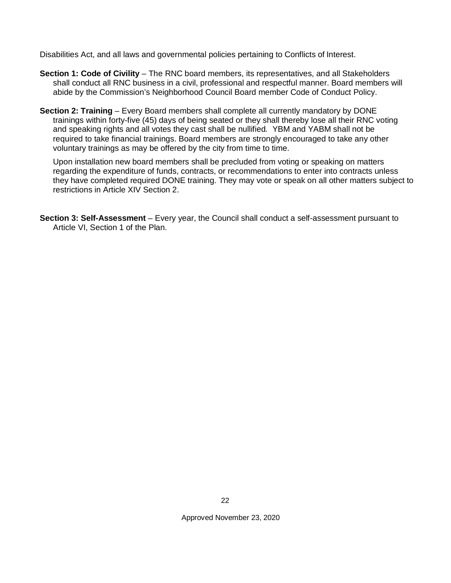Disabilities Act, and all laws and governmental policies pertaining to Conflicts of Interest.

- <span id="page-21-0"></span>**Section 1: Code of Civility** – The RNC board members, its representatives, and all Stakeholders shall conduct all RNC business in a civil, professional and respectful manner. Board members will abide by the Commission's Neighborhood Council Board member Code of Conduct Policy.
- <span id="page-21-1"></span>**Section 2: Training** – Every Board members shall complete all currently mandatory by DONE trainings within forty-five (45) days of being seated or they shall thereby lose all their RNC voting and speaking rights and all votes they cast shall be nullified*.* YBM and YABM shall not be required to take financial trainings. Board members are strongly encouraged to take any other voluntary trainings as may be offered by the city from time to time.

Upon installation new board members shall be precluded from voting or speaking on matters regarding the expenditure of funds, contracts, or recommendations to enter into contracts unless they have completed required DONE training. They may vote or speak on all other matters subject to restrictions in Article XIV Section 2.

<span id="page-21-2"></span>**Section 3: Self-Assessment** – Every year, the Council shall conduct a self-assessment pursuant to Article VI, Section 1 of the Plan.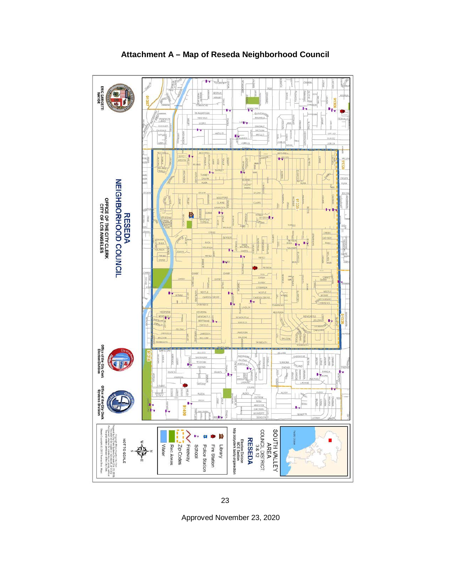<span id="page-22-0"></span>

#### **Attachment A – Map of Reseda Neighborhood Council**

Approved November 23, 2020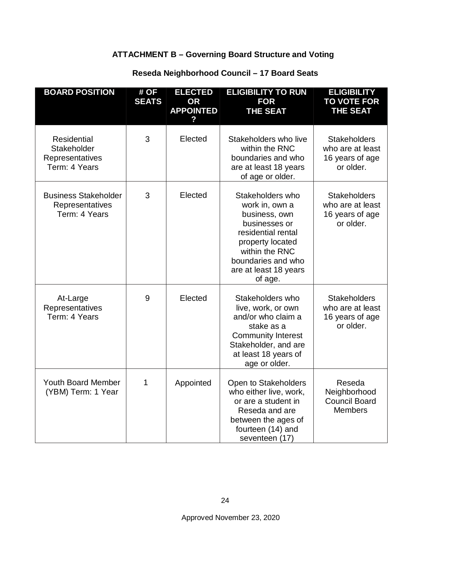## **ATTACHMENT B – Governing Board Structure and Voting**

## **Reseda Neighborhood Council – 17 Board Seats**

<span id="page-23-1"></span><span id="page-23-0"></span>

| <b>BOARD POSITION</b>                                                 | # OF<br><b>SEATS</b> | <b>ELECTED</b><br><b>OR</b><br><b>APPOINTED</b> | <b>ELIGIBILITY TO RUN</b><br><b>FOR</b><br><b>THE SEAT</b>                                                                                                                                 | <b>ELIGIBILITY</b><br><b>TO VOTE FOR</b><br><b>THE SEAT</b>             |
|-----------------------------------------------------------------------|----------------------|-------------------------------------------------|--------------------------------------------------------------------------------------------------------------------------------------------------------------------------------------------|-------------------------------------------------------------------------|
| <b>Residential</b><br>Stakeholder<br>Representatives<br>Term: 4 Years | 3                    | Elected                                         | Stakeholders who live<br>within the RNC<br>boundaries and who<br>are at least 18 years<br>of age or older.                                                                                 | <b>Stakeholders</b><br>who are at least<br>16 years of age<br>or older. |
| <b>Business Stakeholder</b><br>Representatives<br>Term: 4 Years       | 3                    | Elected                                         | Stakeholders who<br>work in, own a<br>business, own<br>businesses or<br>residential rental<br>property located<br>within the RNC<br>boundaries and who<br>are at least 18 years<br>of age. | <b>Stakeholders</b><br>who are at least<br>16 years of age<br>or older. |
| At-Large<br>Representatives<br>Term: 4 Years                          | 9                    | Elected                                         | Stakeholders who<br>live, work, or own<br>and/or who claim a<br>stake as a<br><b>Community Interest</b><br>Stakeholder, and are<br>at least 18 years of<br>age or older.                   | <b>Stakeholders</b><br>who are at least<br>16 years of age<br>or older. |
| <b>Youth Board Member</b><br>(YBM) Term: 1 Year                       | 1                    | Appointed                                       | Open to Stakeholders<br>who either live, work,<br>or are a student in<br>Reseda and are<br>between the ages of<br>fourteen (14) and<br>seventeen (17)                                      | Reseda<br>Neighborhood<br><b>Council Board</b><br><b>Members</b>        |